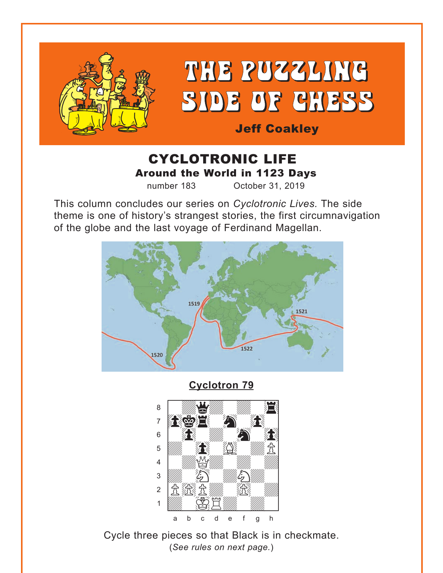<span id="page-0-0"></span>

# CYCLOTRONIC LIFE Around the World in 1123 Days

number 183 October 31, 2019

This column concludes our series on *Cyclotronic Lives.* The side theme is one of history's strangest stories, the first circumnavigation of the globe and the last voyage of Ferdinand Magellan.



**[Cyclotron 79](#page-6-0)**



Cycle three pieces so that Black is in checkmate. (*See rules on next page.*)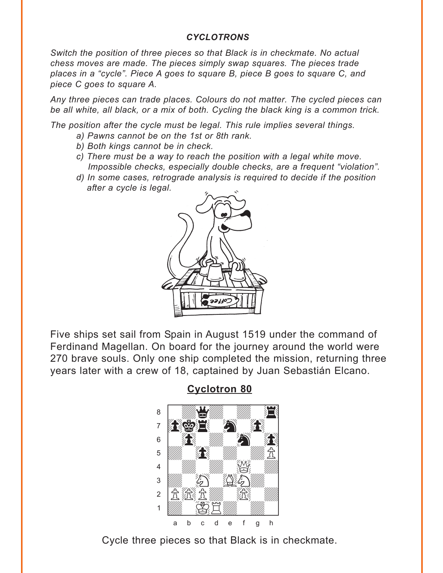#### *CYCLOTRONS*

<span id="page-1-0"></span>*Switch the position of three pieces so that Black is in checkmate. No actual chess moves are made. The pieces simply swap squares. The pieces trade places in a "cycle". Piece A goes to square B, piece B goes to square C, and piece C goes to square A.* 

*Any three pieces can trade places. Colours do not matter. The cycled pieces can be all white, all black, or a mix of both. Cycling the black king is a common trick.* 

*The position after the cycle must be legal. This rule implies several things.* 

- *a) Pawns cannot be on the 1st or 8th rank.*
- *b) Both kings cannot be in check.*
- *c) There must be a way to reach the position with a legal white move. Impossible checks, especially double checks, are a frequent "violation".*
- *d) In some cases, retrograde analysis is required to decide if the position after a cycle is legal.*



Five ships set sail from Spain in August 1519 under the command of Ferdinand Magellan. On board for the journey around the world were 270 brave souls. Only one ship completed the mission, returning three years later with a crew of 18, captained by Juan Sebastián Elcano.

**[Cyclotron 80](#page-7-0)**



Cycle three pieces so that Black is in checkmate.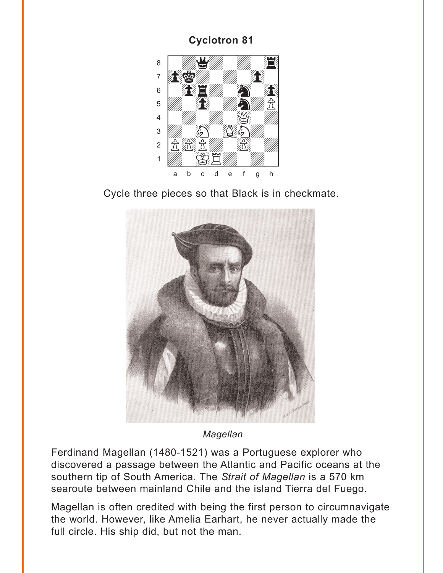<span id="page-2-0"></span>

Cycle three pieces so that Black is in checkmate.



Magellan

Ferdinand Magellan (1480-1521) was a Portuguese explorer who discovered a passage between the Atlantic and Pacific oceans at the southern tip of South America. The Strait of Magellan is a 570 km searoute between mainland Chile and the island Tierra del Fuego.

Magellan is often credited with being the first person to circumnavigate the world. However, like Amelia Earhart, he never actually made the full circle. His ship did, but not the man.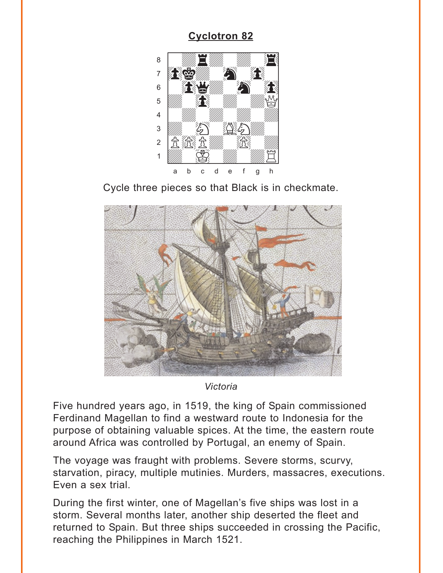<span id="page-3-0"></span>

Cycle three pieces so that Black is in checkmate.



Victoria

Five hundred years ago, in 1519, the king of Spain commissioned Ferdinand Magellan to find a westward route to Indonesia for the purpose of obtaining valuable spices. At the time, the eastern route around Africa was controlled by Portugal, an enemy of Spain.

The voyage was fraught with problems. Severe storms, scurvy, starvation, piracy, multiple mutinies. Murders, massacres, executions. Even a sex trial.

During the first winter, one of Magellan's five ships was lost in a storm. Several months later, another ship deserted the fleet and returned to Spain. But three ships succeeded in crossing the Pacific, reaching the Philippines in March 1521.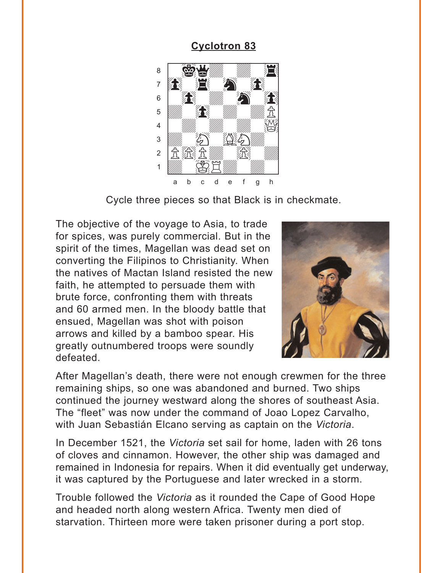<span id="page-4-0"></span>

Cycle three pieces so that Black is in checkmate.

The objective of the voyage to Asia, to trade for spices, was purely commercial. But in the spirit of the times, Magellan was dead set on converting the Filipinos to Christianity. When the natives of Mactan Island resisted the new faith, he attempted to persuade them with brute force, confronting them with threats and 60 armed men. In the bloody battle that ensued, Magellan was shot with poison arrows and killed by a bamboo spear. His greatly outnumbered troops were soundly defeated.



After Magellan's death, there were not enough crewmen for the three remaining ships, so one was abandoned and burned. Two ships continued the journey westward along the shores of southeast Asia. The "fleet" was now under the command of Joao Lopez Carvalho, with Juan Sebastián Elcano serving as captain on the *Victoria*.

In December 1521, the *Victoria* set sail for home, laden with 26 tons of cloves and cinnamon. However, the other ship was damaged and remained in Indonesia for repairs. When it did eventually get underway, it was captured by the Portuguese and later wrecked in a storm.

Trouble followed the *Victoria* as it rounded the Cape of Good Hope and headed north along western Africa. Twenty men died of starvation. Thirteen more were taken prisoner during a port stop.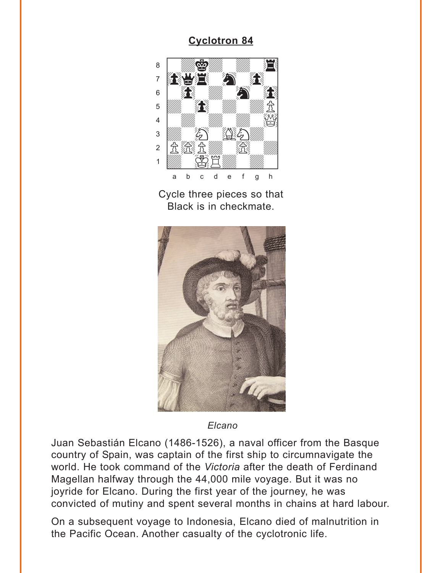<span id="page-5-0"></span>

Cycle three pieces so that Black is in checkmate.



Elcano

Juan Sebastián Elcano (1486-1526), a naval officer from the Basque country of Spain, was captain of the first ship to circumnavigate the world. He took command of the Victoria after the death of Ferdinand Magellan halfway through the 44,000 mile voyage. But it was no joyride for Elcano. During the first year of the journey, he was convicted of mutiny and spent several months in chains at hard labour.

On a subsequent voyage to Indonesia, Elcano died of malnutrition in the Pacific Ocean. Another casualty of the cyclotronic life.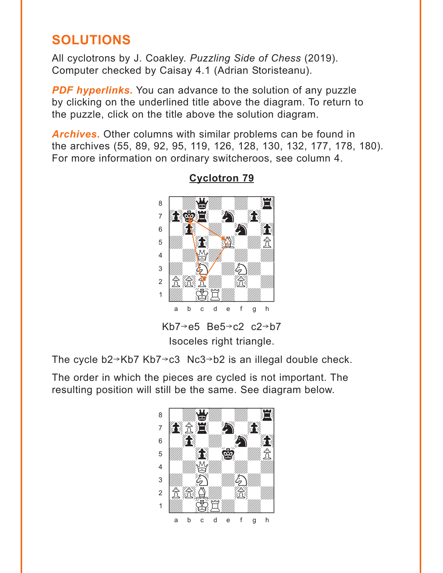# <span id="page-6-0"></span>**SOLUTIONS**

All cyclotrons by J. Coakley. *Puzzling Side of Chess* (2019). Computer checked by Caisay 4.1 (Adrian Storisteanu).

**PDF hyperlinks.** You can advance to the solution of any puzzle by clicking on the underlined title above the diagram. To return to the puzzle, click on the title above the solution diagram.

*Archives***.** Other columns with similar problems can be found in the archives (55, 89, 92, 95, 119, 126, 128, 130, 132, 177, 178, 180). For more information on ordinary switcheroos, see column 4.



### **[Cyclotron 79](#page-0-0)**

Isoceles right triangle.

The cycle  $b2\rightarrow Kb7$  Kb7 $\rightarrow$ c3 Nc3 $\rightarrow$ b2 is an illegal double check.

The order in which the pieces are cycled is not important. The resulting position will still be the same. See diagram below.

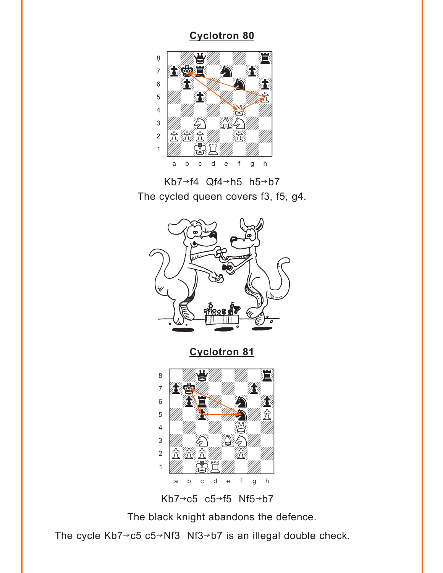<span id="page-7-0"></span>

Kb7 $\rightarrow$ f4 Qf4 $\rightarrow$ h5 h5 $\rightarrow$ b7 The cycled queen covers f3, f5, g4.



**[Cyclotron 81](#page-2-0)**





The black knight abandons the defence.

The cycle Kb7 $\rightarrow$ c5 c5 $\rightarrow$ Nf3 Nf3 $\rightarrow$ b7 is an illegal double check.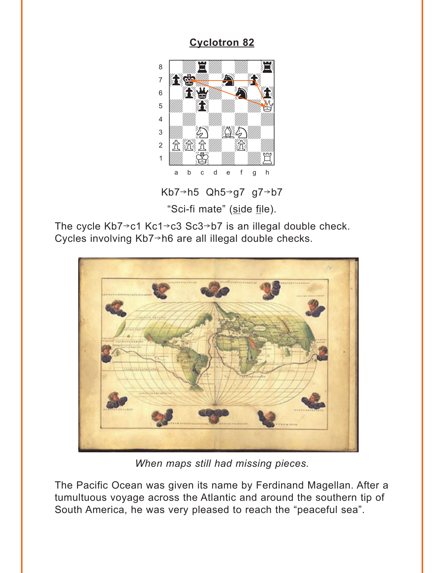<span id="page-8-0"></span>

Kb7→h5 Qh5→g7 g7→b7 "Sci-fi mate" (side file).

The cycle  $Kb7 \rightarrow c1 Kc1 \rightarrow c3 Sc3 \rightarrow b7$  is an illegal double check. Cycles involving Kb7→h6 are all illegal double checks.



When maps still had missing pieces.

The Pacific Ocean was given its name by Ferdinand Magellan. After a tumultuous voyage across the Atlantic and around the southern tip of South America, he was very pleased to reach the "peaceful sea".